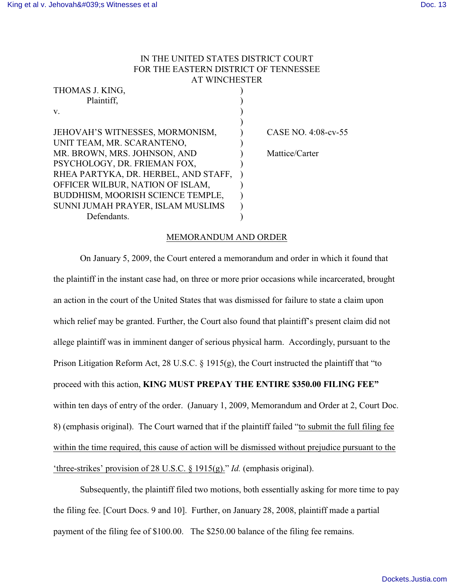## IN THE UNITED STATES DISTRICT COURT FOR THE EASTERN DISTRICT OF TENNESSEE AT WINCHESTER

| THOMAS J. KING,                      |                     |
|--------------------------------------|---------------------|
| Plaintiff,                           |                     |
| V.                                   |                     |
|                                      |                     |
| JEHOVAH'S WITNESSES, MORMONISM,      | CASE NO. 4:08-cv-55 |
| UNIT TEAM, MR. SCARANTENO,           |                     |
| MR. BROWN, MRS. JOHNSON, AND         | Mattice/Carter      |
| PSYCHOLOGY, DR. FRIEMAN FOX,         |                     |
| RHEA PARTYKA, DR. HERBEL, AND STAFF, |                     |
| OFFICER WILBUR, NATION OF ISLAM,     |                     |
| BUDDHISM, MOORISH SCIENCE TEMPLE,    |                     |
| SUNNI JUMAH PRAYER, ISLAM MUSLIMS    |                     |
| Defendants.                          |                     |

## MEMORANDUM AND ORDER

On January 5, 2009, the Court entered a memorandum and order in which it found that the plaintiff in the instant case had, on three or more prior occasions while incarcerated, brought an action in the court of the United States that was dismissed for failure to state a claim upon which relief may be granted. Further, the Court also found that plaintiff's present claim did not allege plaintiff was in imminent danger of serious physical harm. Accordingly, pursuant to the Prison Litigation Reform Act, 28 U.S.C. § 1915(g), the Court instructed the plaintiff that "to proceed with this action, **KING MUST PREPAY THE ENTIRE \$350.00 FILING FEE"** within ten days of entry of the order. (January 1, 2009, Memorandum and Order at 2, Court Doc. 8) (emphasis original). The Court warned that if the plaintiff failed "to submit the full filing fee within the time required, this cause of action will be dismissed without prejudice pursuant to the 'three-strikes' provision of 28 U.S.C. § 1915(g)." *Id.* (emphasis original).

Subsequently, the plaintiff filed two motions, both essentially asking for more time to pay the filing fee. [Court Docs. 9 and 10]. Further, on January 28, 2008, plaintiff made a partial payment of the filing fee of \$100.00. The \$250.00 balance of the filing fee remains.